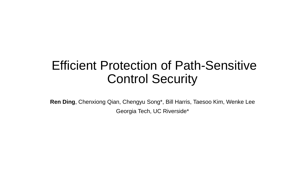#### Efficient Protection of Path-Sensitive Control Security

**Ren Ding**, Chenxiong Qian, Chengyu Song\*, Bill Harris, Taesoo Kim, Wenke Lee Georgia Tech, UC Riverside\*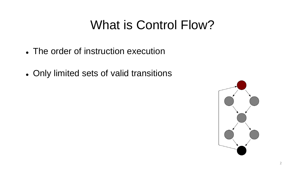#### What is Control Flow?

- The order of instruction execution
- Only limited sets of valid transitions

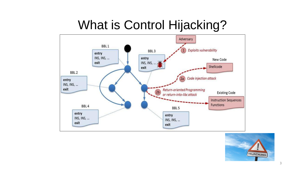#### What is Control Hijacking?



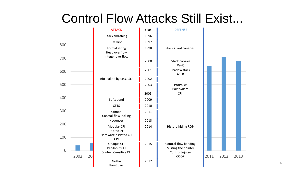#### Control Flow Attacks Still Exist...

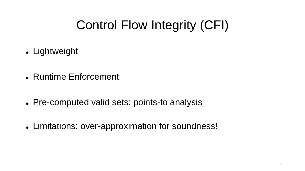# Control Flow Integrity (CFI)

- Lightweight
- Runtime Enforcement
- Pre-computed valid sets: points-to analysis
- Limitations: over-approximation for soundness!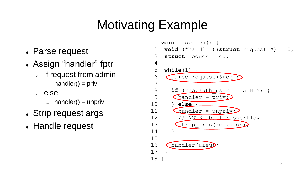# Motivating Example

- Parse request
- Assign "handler" fptr
	- If request from admin:
		- $=$  handler() = priv
	- <sup>o</sup> else:
		- $h$ andler() = unpriv
- Strip request args
- Handle request

1 **void** dispatch() { **void** (\*handler) (struct request \*) = 0; 3 **struct** request req; 4 5 **while**(1) { 6 Cparse request(&req); 7 8 **if** (req.auth\_user == ADMIN) { 9 **Chandler** =  $\text{priv}$ 10 } **else** { 11 Chandler = unpriv; 12 // NOTE. buffer overflow 13 Strip args(req.args) 14 } 15 16 Chandler(&req); 17 } 18 }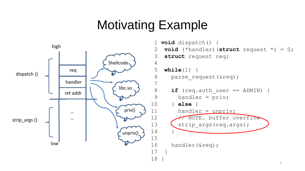#### Motivating Example



```
7
 1 void dispatch() {
 2 void (*handler)(struct request *) = 0;
 3 struct request req;
 5 while(1) {
 6 parse request(&req);
 8 if (req.auth user == ADMIN) {
 9 handler = priv;
10 } else {
11 handler = unpriv;
12 // NOTE. buffer overflow
13 (strip args(req.args);
16 handler(&req);
```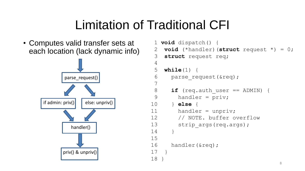### Limitation of Traditional CFI

• Computes valid transfer sets at each location (lack dynamic info)



```
1 void dispatch() {
 2 void (*handler)(struct request *) = 0;
 3 struct request req;
 4 
 5 while(1) {
 6 parse request(&req);
 7 
 8 if (req.auth user == ADMIN) {
 9 handler = priv;
10 } else {
11 handler = unpriv;
12 // NOTE. buffer overflow
13 strip args(req.args);
14 }
15 
16 handler(&req);
17 }
18 }
```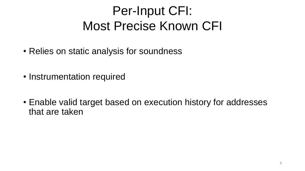# Per-Input CFI: Most Precise Known CFI

- Relies on static analysis for soundness
- Instrumentation required
- Enable valid target based on execution history for addresses that are taken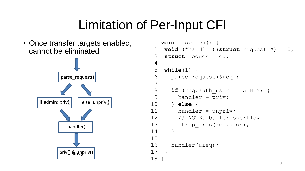# Limitation of Per-Input CFI

• Once transfer targets enabled, cannot be eliminated



```
1 void dispatch() {
 2 void (*handler)(struct request *) = 0;
 3 struct request req;
 4 
 5 while(1) {
 6 parse request(&req);
 7 
 8 if (req.auth user == ADMIN) {
 9 handler = priv;
10 } else {
11 handler = unpriv;
12 // NOTE. buffer overflow
13 strip args(req.args);
14 }
15 
16 handler(&req);
17 }
18 }
```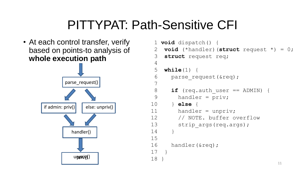#### PITTYPAT: Path-Sensitive CFI

• At each control transfer, verify based on points-to analysis of **whole execution path**



```
1 void dispatch() {
 2 void (*handler)(struct request *) = 0;
 3 struct request req;
 4 
 5 while(1) {
 6 parse request(&req);
 7 
 8 if (req.auth user == ADMIN) {
 9 handler = priv;
10 } else {
11 handler = unpriv;
12 // NOTE. buffer overflow
13 strip args(req.args);
14 }
15 
16 handler(&req);
17 }
18 }
```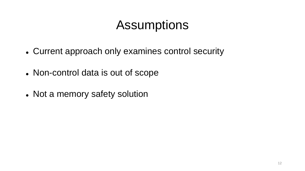#### **Assumptions**

- Current approach only examines control security
- Non-control data is out of scope
- Not a memory safety solution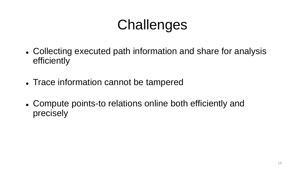# **Challenges**

- Collecting executed path information and share for analysis efficiently
- Trace information cannot be tampered
- Compute points-to relations online both efficiently and precisely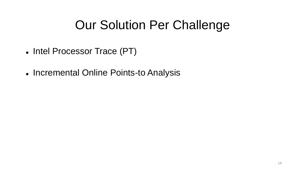#### Our Solution Per Challenge

- Intel Processor Trace (PT)
- Incremental Online Points-to Analysis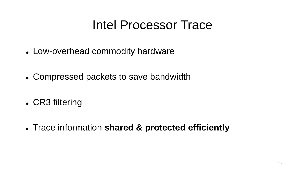#### Intel Processor Trace

- Low-overhead commodity hardware
- Compressed packets to save bandwidth
- CR3 filtering
- Trace information **shared & protected efficiently**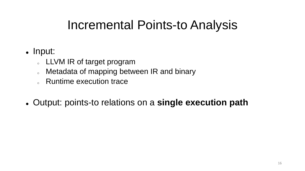#### Incremental Points-to Analysis

#### • Input:

- **LLVM IR of target program**
- o Metadata of mapping between IR and binary
- o Runtime execution trace
- Output: points-to relations on a **single execution path**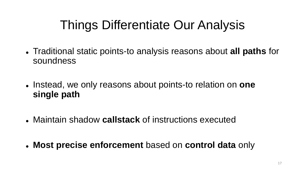# Things Differentiate Our Analysis

- Traditional static points-to analysis reasons about **all paths** for soundness
- Instead, we only reasons about points-to relation on **one single path**
- Maintain shadow **callstack** of instructions executed
- **Most precise enforcement** based on **control data** only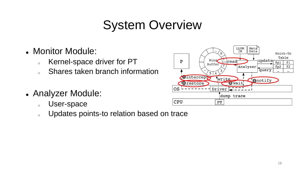# System Overview

- Monitor Module:
	- o Kernel-space driver for PT
	- o Shares taken branch information
- Analyzer Module:
	- <sup>o</sup> User-space
	- o Updates points-to relation based on trace

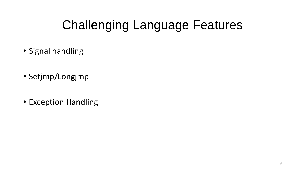# Challenging Language Features

- Signal handling
- Setjmp/Longjmp
- Exception Handling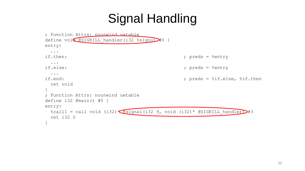# Signal Handling

```
; Function Attrs: nounwind uwtable
define void @SIGKILL handler(i32 %signo)#0 {
entry:
 ...
if.then: \qquad \qquad ; \qquad \qquad preds = %entry
 ...
if.else: \qquad \qquad ; \qquad \qquad preds = %entry
  ...
if.end: \qquad \qquad ; \qquad \qquad ; preds = %if.else, %if.then
 ret void
}
; Function Attrs: nounwind uwtable
define i32 @main() #0 {
entry:
 %call1 = call void (i32) \sqrt{ds}ignal(i32 9, void (i32) * @SIGKILL handler) #3
 ret i32 0
}
```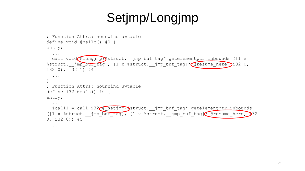# Setjmp/Longjmp

```
; Function Attrs: nounwind uwtable
define void @hello() #0 {
entry:
  ...
  call void @longjmp \struct. __jmp_buf_tag* getelementptr inbounds ([1 x
%struct. jmp_buf_tag], [1 x %struct. jmp buf tag]* @resume here, i32 0,
i32 0), i32 1) #4
  ...
}
; Function Attrs: nounwind uwtable
define i32 @main() #0 {
entry:
  ...
 %call1 = call i32 estjmp(*struct. jmp buf tag* getelementptr inbounds
([1 x %struct. jmp buf tag], [1 x %struct. jmp buf tag] * @resume here, 32
0, i32 0)) #5
  ...
```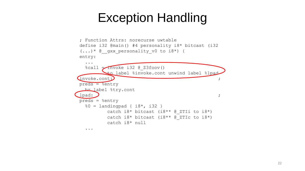#### Exception Handling

```
; Function Attrs: norecurse uwtable
define i32 @main() #4 personality i8* bitcast (i32 
(...)* @ qxx personality v0 to i8*) {
entry:
  ...
  %call = Invoke i32 @ Z3foot()to label %invoke.cont unwind label %lpad
invoke.cont:
preds = <math>%entry
 br label %try.cont
\qquad \qquad \qquad \qquad ;
preds = %entry
  %0 = landingpad { i8*, i32 }
         catch i8* bitcast (i8** @ ZTIi to i8*)
         catch i8* bitcast (i8** @ ZTIc to i8*)
         catch i8* null
  ...
```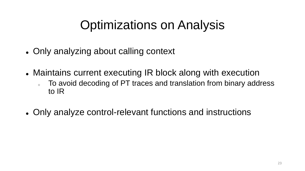## Optimizations on Analysis

- Only analyzing about calling context
- Maintains current executing IR block along with execution
	- To avoid decoding of PT traces and translation from binary address to IR
- Only analyze control-relevant functions and instructions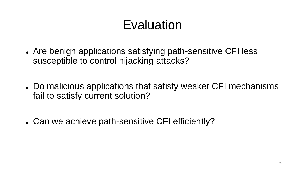# Evaluation

- Are benign applications satisfying path-sensitive CFI less susceptible to control hijacking attacks?
- Do malicious applications that satisfy weaker CFI mechanisms fail to satisfy current solution?
- Can we achieve path-sensitive CFI efficiently?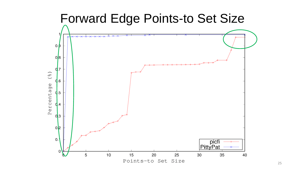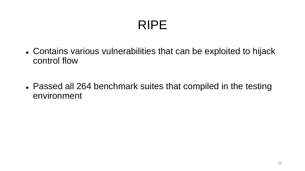# RIPE

- Contains various vulnerabilities that can be exploited to hijack control flow
- Passed all 264 benchmark suites that compiled in the testing environment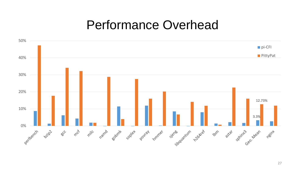#### Performance Overhead



27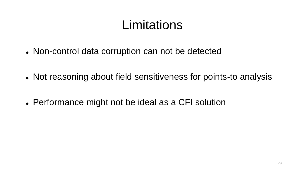#### **Limitations**

- Non-control data corruption can not be detected
- Not reasoning about field sensitiveness for points-to analysis
- Performance might not be ideal as a CFI solution